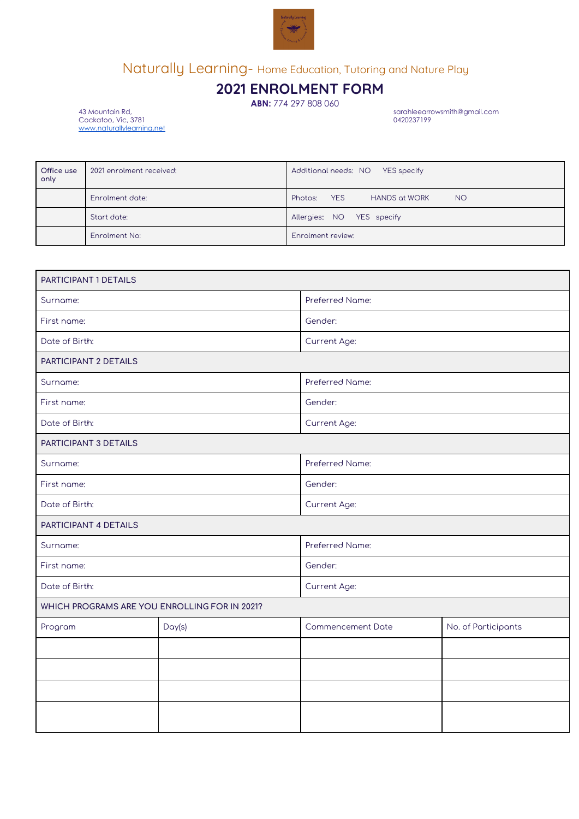

# Naturally Learning- Home Education, Tutoring and Nature Play

## **2021 ENROLMENT FORM**

**ABN:** 774 297 808 060

sarahleearrowsmith@gmail.com<br>0420237199

Cockatoo, Vic, 3781 0420237199 [www.naturallylearning.net](http://www.naturallylearning.net/)

| Office use<br>only | 2021 enrolment received: | Additional needs: NO YES specify                    |
|--------------------|--------------------------|-----------------------------------------------------|
|                    | Enrolment date:          | YES<br><b>HANDS at WORK</b><br>Photos:<br><b>NO</b> |
|                    | Start date:              | Allergies: NO YES specify                           |
|                    | Enrolment No:            | Enrolment review:                                   |

| PARTICIPANT 1 DETAILS                         |        |                          |                     |  |
|-----------------------------------------------|--------|--------------------------|---------------------|--|
| Surname:                                      |        | Preferred Name:          |                     |  |
| First name:                                   |        | Gender:                  |                     |  |
| Date of Birth:                                |        |                          |                     |  |
| PARTICIPANT 2 DETAILS                         |        |                          |                     |  |
| Surname:                                      |        | Preferred Name:          |                     |  |
| First name:                                   |        | Gender:                  |                     |  |
| Date of Birth:                                |        | Current Age:             |                     |  |
| PARTICIPANT 3 DETAILS                         |        |                          |                     |  |
| Surname:                                      |        | Preferred Name:          |                     |  |
| First name:                                   |        | Gender:                  |                     |  |
| Date of Birth:                                |        | Current Age:             |                     |  |
| PARTICIPANT 4 DETAILS                         |        |                          |                     |  |
| Surname:                                      |        | Preferred Name:          |                     |  |
| First name:                                   |        | Gender:                  |                     |  |
| Date of Birth:                                |        | Current Age:             |                     |  |
| WHICH PROGRAMS ARE YOU ENROLLING FOR IN 2021? |        |                          |                     |  |
| Program                                       | Day(s) | <b>Commencement Date</b> | No. of Participants |  |
|                                               |        |                          |                     |  |
|                                               |        |                          |                     |  |
|                                               |        |                          |                     |  |
|                                               |        |                          |                     |  |
|                                               |        |                          |                     |  |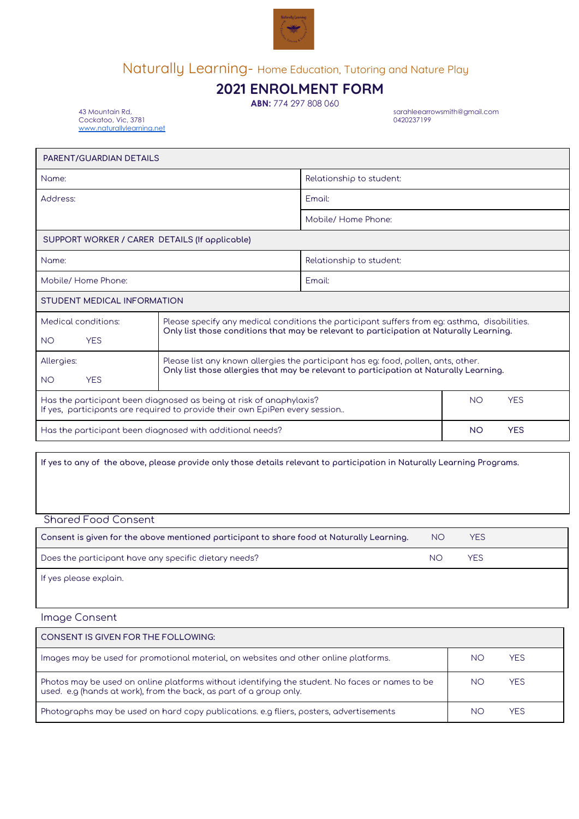

# Naturally Learning- Home Education, Tutoring and Nature Play

## **2021 ENROLMENT FORM**

**ABN:** 774 297 808 060

sarahleearrowsmith@gmail.com<br>0420237199

 $Cockatoo, Vic, 3781$ [www.naturallylearning.net](http://www.naturallylearning.net/)

| PARENT/GUARDIAN DETAILS                                                                                                                                                       |                                                                                                                                                                                         |                          |  |  |
|-------------------------------------------------------------------------------------------------------------------------------------------------------------------------------|-----------------------------------------------------------------------------------------------------------------------------------------------------------------------------------------|--------------------------|--|--|
| Name:                                                                                                                                                                         |                                                                                                                                                                                         | Relationship to student: |  |  |
| Address:                                                                                                                                                                      |                                                                                                                                                                                         | Emoil:                   |  |  |
|                                                                                                                                                                               |                                                                                                                                                                                         | Mobile/ Home Phone:      |  |  |
| SUPPORT WORKER / CARER DETAILS (If applicable)                                                                                                                                |                                                                                                                                                                                         |                          |  |  |
| Name:                                                                                                                                                                         |                                                                                                                                                                                         | Relationship to student: |  |  |
| Mobile/ Home Phone:                                                                                                                                                           |                                                                                                                                                                                         | Emoil:                   |  |  |
| STUDENT MEDICAL INFORMATION                                                                                                                                                   |                                                                                                                                                                                         |                          |  |  |
| Medical conditions:<br><b>YES</b><br><b>NO</b>                                                                                                                                | Please specify any medical conditions the participant suffers from eg: asthma, disabilities.<br>Only list those conditions that may be relevant to participation at Naturally Learning. |                          |  |  |
| Allergies:<br><b>YES</b><br><b>NO</b>                                                                                                                                         | Please list any known allergies the participant has eg: food, pollen, ants, other.<br>Only list those allergies that may be relevant to participation at Naturally Learning.            |                          |  |  |
| <b>NO</b><br><b>YES</b><br>Has the participant been diagnosed as being at risk of anaphylaxis?<br>If yes, participants are required to provide their own EpiPen every session |                                                                                                                                                                                         |                          |  |  |
| <b>YES</b><br><b>NO</b><br>Has the participant been diagnosed with additional needs?                                                                                          |                                                                                                                                                                                         |                          |  |  |

If yes to any of the above, please provide only those details relevant to participation in Naturally Learning Programs.

Shared Food Consent

| Consent is given for the above mentioned participant to share food at Naturally Learning. | NO. | <b>YES</b> |
|-------------------------------------------------------------------------------------------|-----|------------|
| Does the participant have any specific dietary needs?                                     | NΟ  | <b>YFS</b> |
| If yes please explain.                                                                    |     |            |

Image Consent

| <b>CONSENT IS GIVEN FOR THE FOLLOWING:</b>                                                                                                                            |    |            |
|-----------------------------------------------------------------------------------------------------------------------------------------------------------------------|----|------------|
| Images may be used for promotional material, on websites and other online platforms.                                                                                  | NΟ | <b>YES</b> |
| Photos may be used on online platforms without identifying the student. No faces or names to be<br>used. e.g (hands at work), from the back, as part of a group only. | NΟ | <b>YES</b> |
| Photographs may be used on hard copy publications, e.g fliers, posters, advertisements                                                                                | NС | <b>YES</b> |